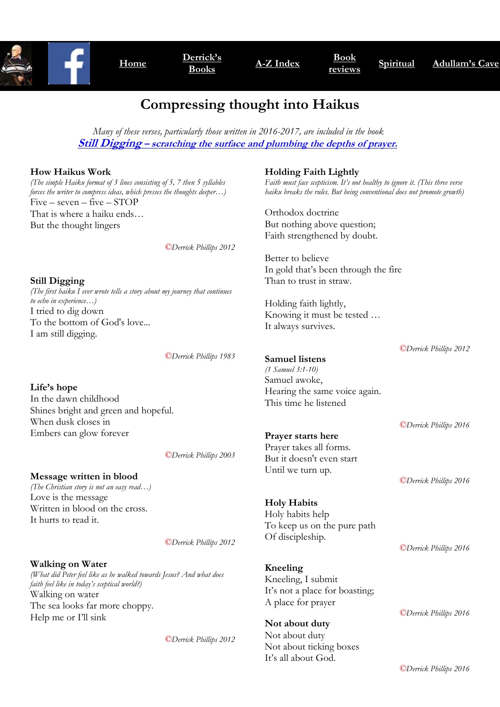

# **Compressing thought into Haikus**

 *Many of these verses, particularly those written in 2016-2017, are included in the book*  **Still Digging – [scratching the surface and plumbing the depths of prayer.](https://www.amazon.co.uk/Still-Digging-Scratching-surface-plumbing/dp/1542903866/ref=sr_1_1?ie=UTF8&qid=1519997399&sr=8-1&keywords=Still+Digging)**

#### **How Haikus Work**

*(The simple Haiku format of 3 lines consisting of 5, 7 then 5 syllables forces the writer to compress ideas, which presses the thoughts deeper…)* Five – seven – five – STOP That is where a haiku ends… But the thought lingers

*©Derrick Phillips 2012*

**Still Digging** *(The first haiku I ever wrote tells a story about my journey that continues to echo in experience…)* I tried to dig down To the bottom of God's love... I am still digging.

*©Derrick Phillips 1983*

**Life's hope** In the dawn childhood Shines bright and green and hopeful. When dusk closes in Embers can glow forever

*©Derrick Phillips 2003*

**Message written in blood** *(The Christian story is not an easy read…)* Love is the message Written in blood on the cross. It hurts to read it.

*©Derrick Phillips 2012*

**Walking on Water** *(What did Peter feel like as he walked towards Jesus? And what does faith feel like in today's sceptical world?)* Walking on water The sea looks far more choppy. Help me or I'll sink

*©Derrick Phillips 2012*

#### **Holding Faith Lightly**

*Faith must face scepticism. It's not healthy to ignore it. (This three verse haiku breaks the rules. But being conventional does not promote growth)*

Orthodox doctrine But nothing above question; Faith strengthened by doubt.

Better to believe In gold that's been through the fire Than to trust in straw.

Holding faith lightly, Knowing it must be tested … It always survives.

*©Derrick Phillips 2012*

**Samuel listens** *(1 Samuel 3:1-10)* Samuel awoke, Hearing the same voice again. This time he listened

**Prayer starts here** Prayer takes all forms. But it doesn't even start Until we turn up.

**Holy Habits** Holy habits help To keep us on the pure path Of discipleship.

**Kneeling** Kneeling, I submit It's not a place for boasting; A place for prayer

**Not about duty** Not about duty Not about ticking boxes It's all about God.

*©Derrick Phillips 2016* 

*©Derrick Phillips 2016* 

*©Derrick Phillips 2016* 

*©Derrick Phillips 2016*

*©Derrick Phillips 2016*